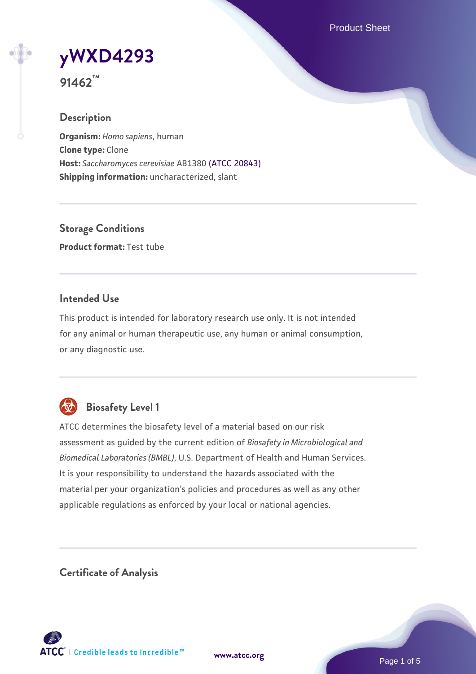Product Sheet

**[yWXD4293](https://www.atcc.org/products/91462)**

**91462™**

### **Description**

**Organism:** *Homo sapiens*, human **Clone type:** Clone **Host:** *Saccharomyces cerevisiae* AB1380 [\(ATCC 20843\)](https://www.atcc.org/products/20843) **Shipping information:** uncharacterized, slant

**Storage Conditions Product format:** Test tube

### **Intended Use**

This product is intended for laboratory research use only. It is not intended for any animal or human therapeutic use, any human or animal consumption, or any diagnostic use.



# **Biosafety Level 1**

ATCC determines the biosafety level of a material based on our risk assessment as guided by the current edition of *Biosafety in Microbiological and Biomedical Laboratories (BMBL)*, U.S. Department of Health and Human Services. It is your responsibility to understand the hazards associated with the material per your organization's policies and procedures as well as any other applicable regulations as enforced by your local or national agencies.

**Certificate of Analysis**

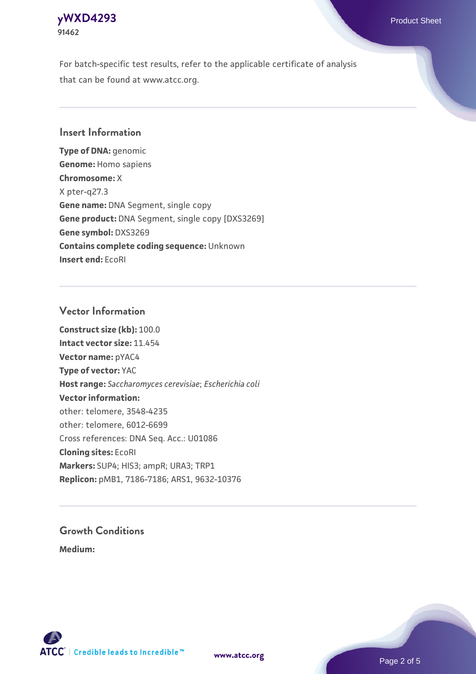# **[yWXD4293](https://www.atcc.org/products/91462)** Product Sheet **91462**

For batch-specific test results, refer to the applicable certificate of analysis that can be found at www.atcc.org.

### **Insert Information**

**Type of DNA:** genomic **Genome:** Homo sapiens **Chromosome:** X X pter-q27.3 **Gene name:** DNA Segment, single copy **Gene product:** DNA Segment, single copy [DXS3269] **Gene symbol:** DXS3269 **Contains complete coding sequence:** Unknown **Insert end:** EcoRI

#### **Vector Information**

**Construct size (kb):** 100.0 **Intact vector size:** 11.454 **Vector name:** pYAC4 **Type of vector:** YAC **Host range:** *Saccharomyces cerevisiae*; *Escherichia coli* **Vector information:** other: telomere, 3548-4235 other: telomere, 6012-6699 Cross references: DNA Seq. Acc.: U01086 **Cloning sites:** EcoRI **Markers:** SUP4; HIS3; ampR; URA3; TRP1 **Replicon:** pMB1, 7186-7186; ARS1, 9632-10376

# **Growth Conditions**

**Medium:** 



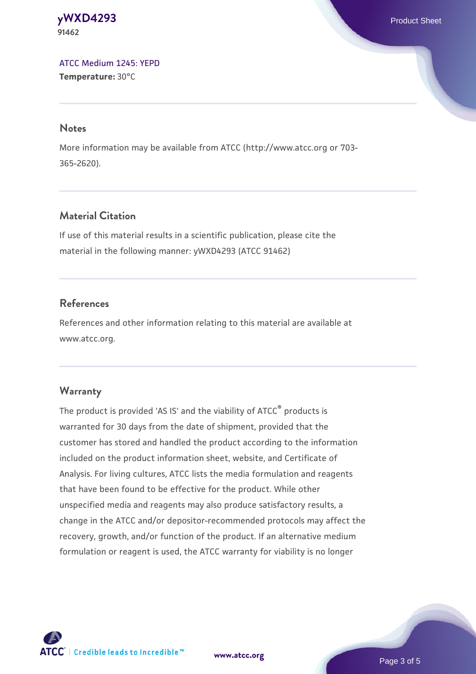#### **[yWXD4293](https://www.atcc.org/products/91462)** Product Sheet **91462**

[ATCC Medium 1245: YEPD](https://www.atcc.org/-/media/product-assets/documents/microbial-media-formulations/1/2/4/5/atcc-medium-1245.pdf?rev=705ca55d1b6f490a808a965d5c072196) **Temperature:** 30°C

#### **Notes**

More information may be available from ATCC (http://www.atcc.org or 703- 365-2620).

# **Material Citation**

If use of this material results in a scientific publication, please cite the material in the following manner: yWXD4293 (ATCC 91462)

## **References**

References and other information relating to this material are available at www.atcc.org.

## **Warranty**

The product is provided 'AS IS' and the viability of ATCC® products is warranted for 30 days from the date of shipment, provided that the customer has stored and handled the product according to the information included on the product information sheet, website, and Certificate of Analysis. For living cultures, ATCC lists the media formulation and reagents that have been found to be effective for the product. While other unspecified media and reagents may also produce satisfactory results, a change in the ATCC and/or depositor-recommended protocols may affect the recovery, growth, and/or function of the product. If an alternative medium formulation or reagent is used, the ATCC warranty for viability is no longer



**[www.atcc.org](http://www.atcc.org)**

Page 3 of 5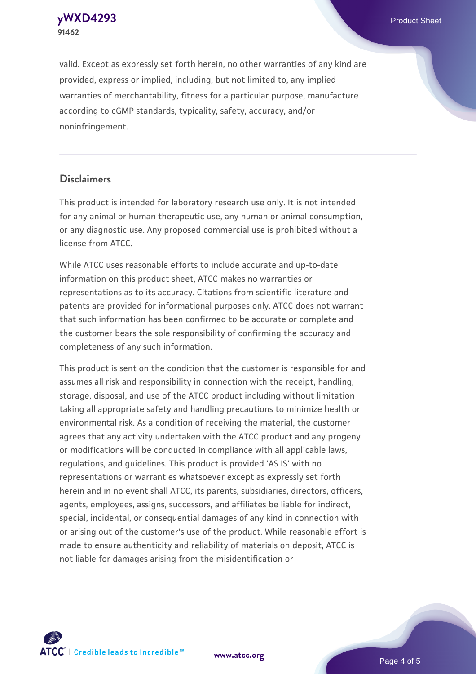**[yWXD4293](https://www.atcc.org/products/91462)** Product Sheet **91462**

valid. Except as expressly set forth herein, no other warranties of any kind are provided, express or implied, including, but not limited to, any implied warranties of merchantability, fitness for a particular purpose, manufacture according to cGMP standards, typicality, safety, accuracy, and/or noninfringement.

#### **Disclaimers**

This product is intended for laboratory research use only. It is not intended for any animal or human therapeutic use, any human or animal consumption, or any diagnostic use. Any proposed commercial use is prohibited without a license from ATCC.

While ATCC uses reasonable efforts to include accurate and up-to-date information on this product sheet, ATCC makes no warranties or representations as to its accuracy. Citations from scientific literature and patents are provided for informational purposes only. ATCC does not warrant that such information has been confirmed to be accurate or complete and the customer bears the sole responsibility of confirming the accuracy and completeness of any such information.

This product is sent on the condition that the customer is responsible for and assumes all risk and responsibility in connection with the receipt, handling, storage, disposal, and use of the ATCC product including without limitation taking all appropriate safety and handling precautions to minimize health or environmental risk. As a condition of receiving the material, the customer agrees that any activity undertaken with the ATCC product and any progeny or modifications will be conducted in compliance with all applicable laws, regulations, and guidelines. This product is provided 'AS IS' with no representations or warranties whatsoever except as expressly set forth herein and in no event shall ATCC, its parents, subsidiaries, directors, officers, agents, employees, assigns, successors, and affiliates be liable for indirect, special, incidental, or consequential damages of any kind in connection with or arising out of the customer's use of the product. While reasonable effort is made to ensure authenticity and reliability of materials on deposit, ATCC is not liable for damages arising from the misidentification or



**[www.atcc.org](http://www.atcc.org)**

Page 4 of 5